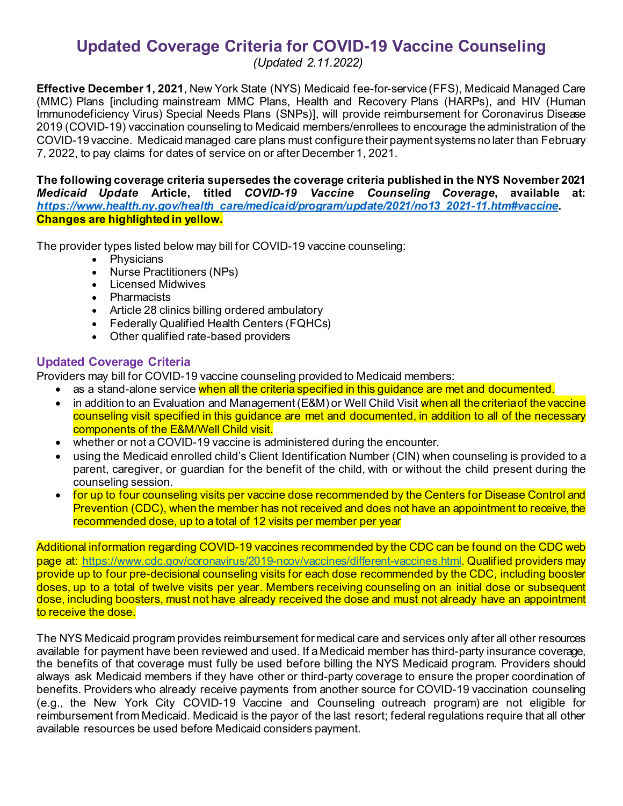# **Updated Coverage Criteria for COVID-19 Vaccine Counseling**

 *(Updated 2.11.2022)* 

 **Effective December 1, 2021**, New York State (NYS) Medicaid fee-for-service (FFS), Medicaid Managed Care (MMC) Plans [including mainstream MMC Plans, Health and Recovery Plans (HARPs), and HIV (Human Immunodeficiency Virus) Special Needs Plans (SNPs)], will provide reimbursement for Coronavirus Disease 2019 (COVID-19) vaccination counseling to Medicaid members/enrollees to encourage the administration of the COVID-19 vaccine. Medicaid managed care plans must configure their payment systems no later than February 7, 2022, to pay claims for dates of service on or after December 1, 2021.

 **Changes are highlighted in yellow. The following coverage criteria supersedes the coverage criteria published in the NYS November 2021**  *Medicaid Update* **Article, titled** *COVID-19 Vaccine Counseling Coverage***, available at:**  *[https://www.health.ny.gov/health\\_care/medicaid/program/update/2021/no13\\_2021-11.htm#vaccine](https://www.health.ny.gov/health_care/medicaid/program/update/2021/no13_2021-11.htm#vaccine)***.** 

The provider types listed below may bill for COVID-19 vaccine counseling:

- Physicians
- Nurse Practitioners (NPs)
- Licensed Midwives
- Pharmacists
- Article 28 clinics billing ordered ambulatory
- Federally Qualified Health Centers (FQHCs)
- Other qualified rate-based providers

# **Updated Coverage Criteria**

Providers may bill for COVID-19 vaccine counseling provided to Medicaid members:

- $\bullet$ as a stand-alone service when all the criteria specified in this guidance are met and documented.
- • in addition to an Evaluation and Management(E&M) or Well Child Visit when all the criteria of the vaccine counseling visit specified in this guidance are met and documented, in addition to all of the necessary components of the E&M/Well Child visit.
- whether or not a COVID-19 vaccine is administered during the encounter.
- parent, caregiver, or guardian for the benefit of the child, with or without the child present during the counseling session. • using the Medicaid enrolled child's Client Identification Number (CIN) when counseling is provided to a
- • for up to four counseling visits per vaccine dose recommended by the Centers for Disease Control and recommended dose, up to a total of 12 visits per member per year Prevention (CDC), when the member has not received and does not have an appointment to receive, the

 Additional information regarding COVID-19 vaccines recommended by the CDC can be found on the CDC web doses, up to a total of twelve visits per year. Members receiving counseling on an initial dose or subsequent dose, including boosters, must not have already received the dose and must not already have an appointment page at:<https://www.cdc.gov/coronavirus/2019-ncov/vaccines/different-vaccines.html>. Qualified providers may provide up to four pre-decisional counseling visits for each dose recommended by the CDC, including booster to receive the dose.

 always ask Medicaid members if they have other or third-party coverage to ensure the proper coordination of benefits. Providers who already receive payments from another source for COVID-19 vaccination counseling (e.g., the New York City COVID-19 Vaccine and Counseling outreach program) are not eligible for reimbursement from Medicaid. Medicaid is the payor of the last resort; federal regulations require that all other The NYS Medicaid program provides reimbursement for medical care and services only after all other resources available for payment have been reviewed and used. If a Medicaid member has third-party insurance coverage, the benefits of that coverage must fully be used before billing the NYS Medicaid program. Providers should available resources be used before Medicaid considers payment.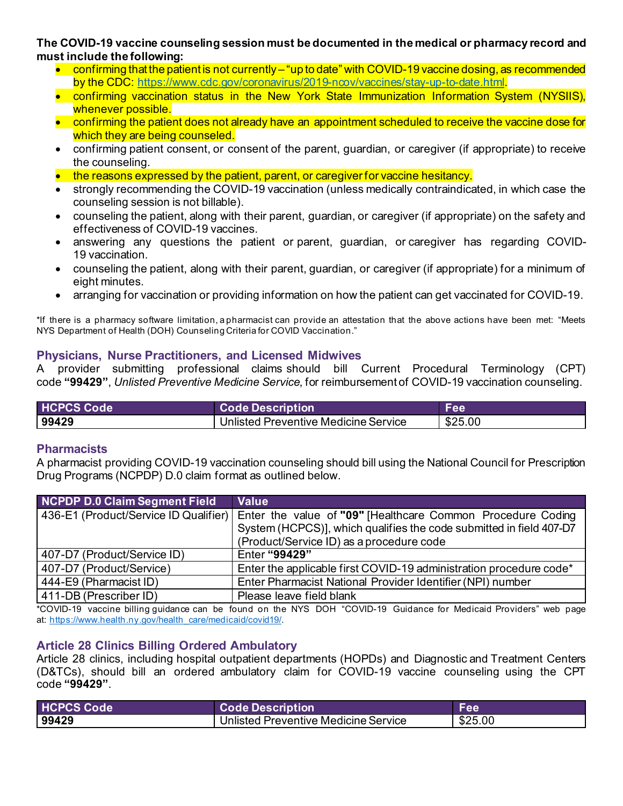#### **must include the following: The COVID-19 vaccine counseling session must be documented in the medical or pharmacy record and**

- • confirming that the patient is not currently "up to date" with COVID-19 vaccine dosing, as recommended by the CDC: [https://www.cdc.gov/coronavirus/2019-ncov/vaccines/stay-up-to-date.html.](https://www.cdc.gov/coronavirus/2019-ncov/vaccines/stay-up-to-date.html)
- • confirming vaccination status in the New York State Immunization Information System (NYSIIS), whenever possible.
- confirming the patient does not already have an appointment scheduled to receive the vaccine dose for which they are being counseled.
- • confirming patient consent, or consent of the parent, guardian, or caregiver (if appropriate) to receive the counseling.
- the reasons expressed by the patient, parent, or caregiver for vaccine hesitancy.
- strongly recommending the COVID-19 vaccination (unless medically contraindicated, in which case the counseling session is not billable).
- effectiveness of COVID-19 vaccines. • counseling the patient, along with their parent, guardian, or caregiver (if appropriate) on the safety and
- • answering any questions the patient or parent, guardian, or caregiver has regarding COVID-19 vaccination.
- • counseling the patient, along with their parent, guardian, or caregiver (if appropriate) for a minimum of eight minutes.
- arranging for vaccination or providing information on how the patient can get vaccinated for COVID-19.

 \*If there is a pharmacy software limitation, a pharmacist can provide an attestation that the above actions have been met: "Meets NYS Department of Health (DOH) Counseling Criteria for COVID Vaccination."

#### **Physicians, Nurse Practitioners, and Licensed Midwives**

A code **"99429"**, *Unlisted Preventive Medicine Service*, for reimbursement of COVID-19 vaccination counseling. provider submitting professional claims should bill Current Procedural Terminology (CPT)

| <b>HCPCS Code</b> | <b>Code Description</b>              | Fee     |
|-------------------|--------------------------------------|---------|
| 99429             | Unlisted Preventive Medicine Service | \$25.00 |

#### **Pharmacists**

 Drug Programs (NCPDP) D.0 claim format as outlined below. A pharmacist providing COVID-19 vaccination counseling should bill using the National Council for Prescription

| NCPDP D.0 Claim Segment Field | Value                                                                                             |  |
|-------------------------------|---------------------------------------------------------------------------------------------------|--|
|                               | 436-E1 (Product/Service ID Qualifier) Enter the value of "09" [Healthcare Common Procedure Coding |  |
|                               | System (HCPCS)], which qualifies the code submitted in field 407-D7                               |  |
|                               | (Product/Service ID) as a procedure code                                                          |  |
| 407-D7 (Product/Service ID)   | Enter "99429"                                                                                     |  |
| 407-D7 (Product/Service)      | Enter the applicable first COVID-19 administration procedure code*                                |  |
| 444-E9 (Pharmacist ID)        | Enter Pharmacist National Provider Identifier (NPI) number                                        |  |
| 411-DB (Prescriber ID)        | Please leave field blank                                                                          |  |

 \*COVID-19 vaccine billing guidance can be found on the NYS DOH "COVID-19 Guidance for Medicaid Providers" web page at: [https://www.health.ny.gov/health\\_care/medicaid/covid19/.](https://www.health.ny.gov/health_care/medicaid/covid19/)

## **Article 28 Clinics Billing Ordered Ambulatory**

 Article 28 clinics, including hospital outpatient departments (HOPDs) and Diagnostic and Treatment Centers (D&TCs), should bill an ordered ambulatory claim for COVID-19 vaccine counseling using the CPT code **"99429"**.

| <b>HCPCS Code</b> | <b>Code Description</b>              | <b>Fee</b> |
|-------------------|--------------------------------------|------------|
| 99429             | Unlisted Preventive Medicine Service | \$25.00    |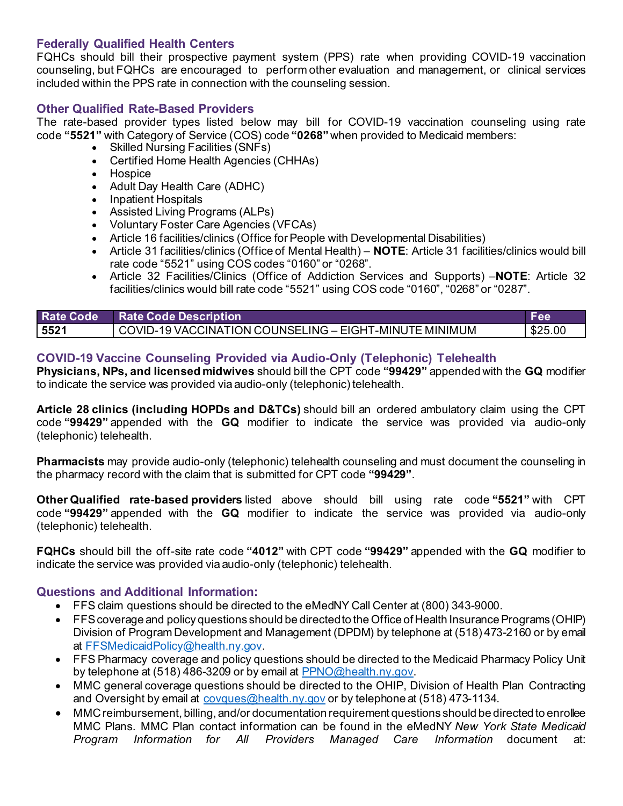### **Federally Qualified Health Centers**

 counseling, but FQHCs are encouraged to perform other evaluation and management, or clinical services included within the PPS rate in connection with the counseling session. FQHCs should bill their prospective payment system (PPS) rate when providing COVID-19 vaccination

# **Other Qualified Rate-Based Providers**

 The rate-based provider types listed below may bill for COVID-19 vaccination counseling using rate code **"5521"** with Category of Service (COS) code **"0268"** when provided to Medicaid members:

- Skilled Nursing Facilities (SNFs)
- Certified Home Health Agencies (CHHAs)
- Hospice
- Adult Day Health Care (ADHC)
- Inpatient Hospitals
- Assisted Living Programs (ALPs)
- Voluntary Foster Care Agencies (VFCAs)
- Article 16 facilities/clinics (Office for People with Developmental Disabilities)
- • Article 31 facilities/clinics (Office of Mental Health) **NOTE**: Article 31 facilities/clinics would bill rate code "5521" using COS codes "0160" or "0268".
- Article 32 Facilities/Clinics (Office of Addiction Services and Supports) –**NOTE**: Article 32 facilities/clinics would bill rate code "5521" using COS code "0160", "0268" or "0287".

|      | Rate Code Rate Code Description                          | Fee     |
|------|----------------------------------------------------------|---------|
| 5521 | COVID-19 VACCINATION COUNSELING – EIGHT-MINUTE MINIMUM [ | \$25.00 |

## **COVID-19 Vaccine Counseling Provided via Audio-Only (Telephonic) Telehealth**

 **Physicians, NPs, and licensed midwives** should bill the CPT code **"99429"** appended with the **GQ** modifier to indicate the service was provided via audio-only (telephonic) telehealth.

 code **"99429"** appended with the **GQ** modifier to indicate the service was provided via audio-only (telephonic) telehealth. **Article 28 clinics (including HOPDs and D&TCs)** should bill an ordered ambulatory claim using the CPT

 **Pharmacists** may provide audio-only (telephonic) telehealth counseling and must document the counseling in the pharmacy record with the claim that is submitted for CPT code **"99429"**.

 **Other Qualified rate-based providers** listed above should bill using rate code **"5521"** with CPT code **"99429"** appended with the **GQ** modifier to indicate the service was provided via audio-only (telephonic) telehealth.

 **FQHCs** should bill the off-site rate code **"4012"** with CPT code **"99429"** appended with the **GQ** modifier to indicate the service was provided via audio-only (telephonic) telehealth.

### **Questions and Additional Information:**

- FFS claim questions should be directed to the eMedNY Call Center at (800) 343-9000.
- • FFS coverage and policy questions should be directed to the Office of Health Insurance Programs (OHIP) Division of Program Development and Management (DPDM) by telephone at (518) 473-2160 or by email at [FFSMedicaidPolicy@health.ny.gov](mailto:FFSMedicaidPolicy@health.ny.gov).
- FFS Pharmacy coverage and policy questions should be directed to the Medicaid Pharmacy Policy Unit by telephone at (518) 486-3209 or by email at [PPNO@health.ny.gov.](mailto:PPNO@health.ny.gov)
- and Oversight by email at <u>covques@health.ny.gov</u> or by telephone at (518) 473-1134. • MMC general coverage questions should be directed to the OHIP, Division of Health Plan Contracting
- • MMC reimbursement, billing, and/or documentation requirement questions should be directed to enrollee MMC Plans. MMC Plan contact information can be found in the eMedNY *New York State Medicaid*  **Program** Information for All *Providers Managed Care Information* document at: